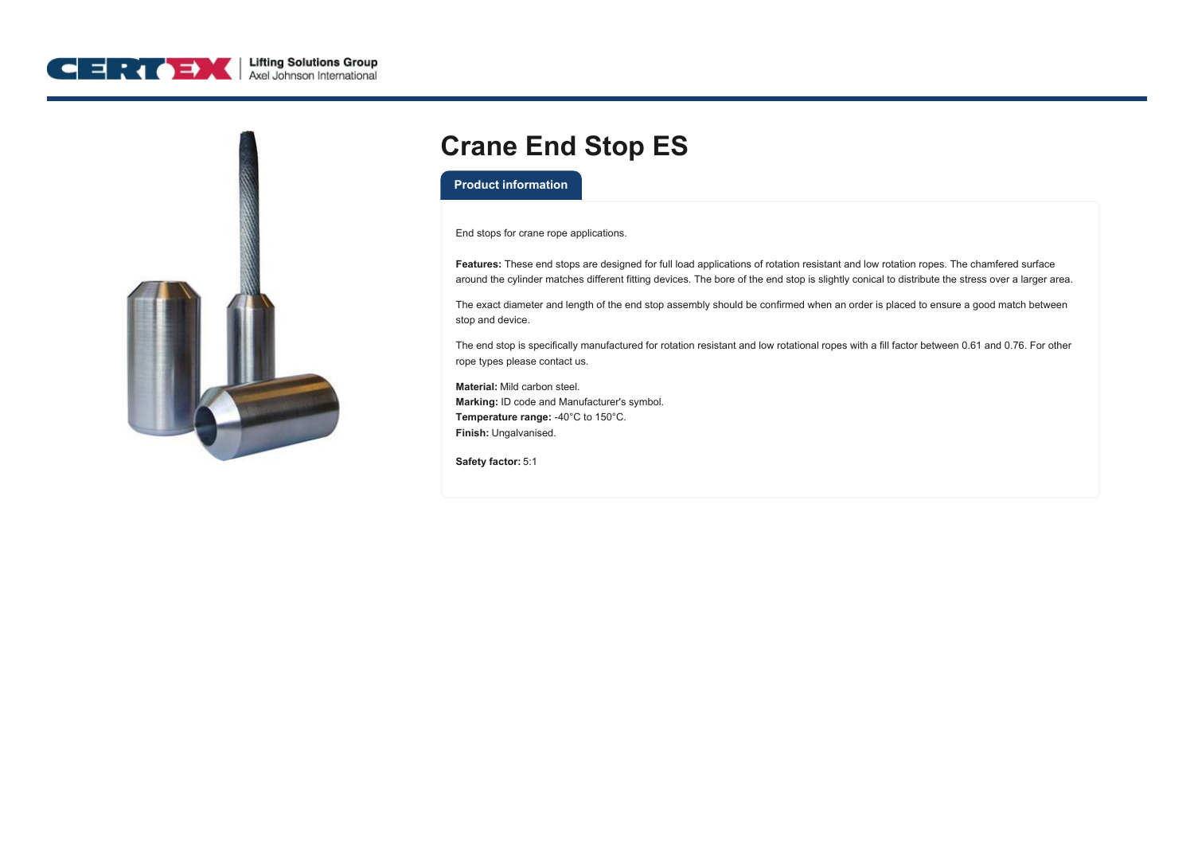



## **Crane End Stop ES**

## **Product information**

End stops for crane rope applications.

**Features:** These end stops are designed for full load applications of rotation resistant and low rotation ropes. The chamfered surface around the cylinder matches different fitting devices. The bore of the end stop is slightly conical to distribute the stress over a larger area.

The exact diameter and length of the end stop assembly should be confirmed when an order is placed to ensure a good match between stop and device.

The end stop is specifically manufactured for rotation resistant and low rotational ropes with a fill factor between 0.61 and 0.76. For other rope types please contact us.

**Material:** Mild carbon steel. **Marking:** ID code and Manufacturer's symbol. **Temperature range:** -40°C to 150°C. **Finish:** Ungalvanised.

**Safety factor:** 5:1